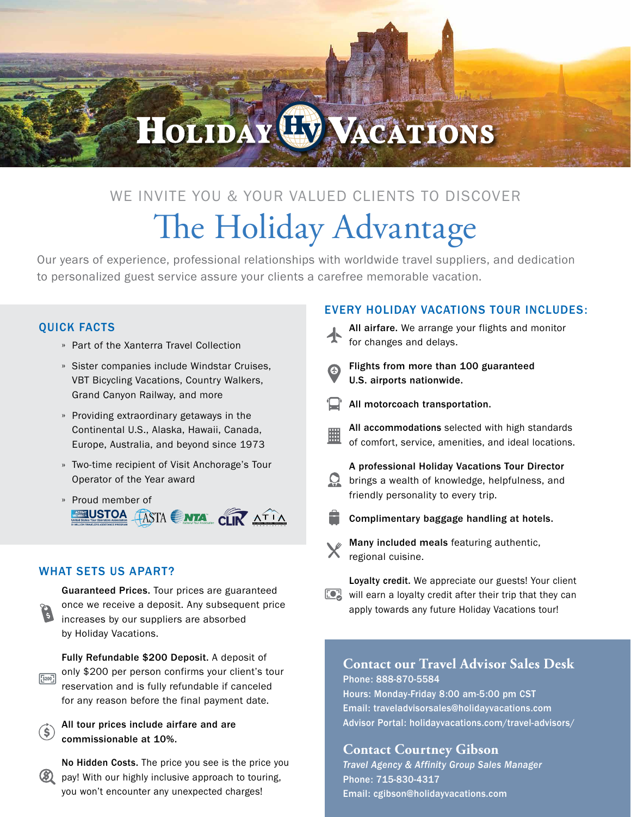# **HOLIDAY HU VACATIONS**

### WE INVITE YOU & YOUR VALUED CLIENTS TO DISCOVER The Holiday Advantage

Our years of experience, professional relationships with worldwide travel suppliers, and dedication to personalized guest service assure your clients a carefree memorable vacation.

#### QUICK FACTS

- » Part of the Xanterra Travel Collection
- » Sister companies include Windstar Cruises, VBT Bicycling Vacations, Country Walkers, Grand Canyon Railway, and more
- » Providing extraordinary getaways in the Continental U.S., Alaska, Hawaii, Canada, Europe, Australia, and beyond since 1973
- » Two-time recipient of Visit Anchorage's Tour Operator of the Year award
- » Proud member of **EQUISTOA TASTA SINTA CLIR ATIA** ASSOCIA TION

#### WHAT SETS US APART?

 $\left( \mathbf{\hat{s}}\right)$ 



Fully Refundable \$200 Deposit. A deposit of only \$200 per person confirms your client's tour  $5200$ reservation and is fully refundable if canceled for any reason before the final payment date.

All tour prices include airfare and are commissionable at 10%.

No Hidden Costs. The price you see is the price you (3) pay! With our highly inclusive approach to touring, you won't encounter any unexpected charges!

#### EVERY HOLIDAY VACATIONS TOUR INCLUDES:

- All airfare. We arrange your flights and monitor for changes and delays. Flights from more than 100 guaranteed U.S. airports nationwide. All motorcoach transportation. All accommodations selected with high standards of comfort, service, amenities, and ideal locations. A professional Holiday Vacations Tour Director **Q** brings a wealth of knowledge, helpfulness, and friendly personality to every trip. Complimentary baggage handling at hotels. Many included meals featuring authentic, regional cuisine.
- Loyalty credit. We appreciate our guests! Your client **DE** will earn a loyalty credit after their trip that they can apply towards any future Holiday Vacations tour!

#### **Contact our Travel Advisor Sales Desk** Phone: 888-870-5584

Hours: Monday-Friday 8:00 am-5:00 pm CST Email: traveladvisorsales@holidayvacations.com Advisor Portal: holidayvacations.com/travel-advisors/

#### **Contact Courtney Gibson**

*Travel Agency & Affinity Group Sales Manager* Phone: 715-830-4317 Email: cgibson@holidayvacations.com